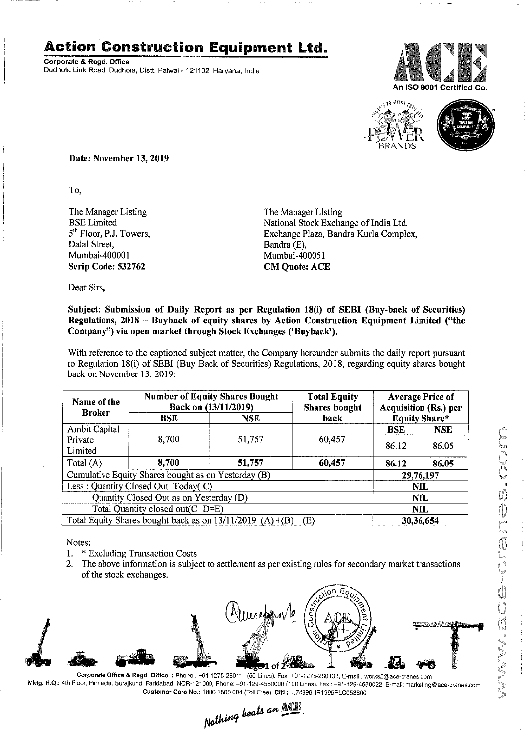## **Action Construction Equipment Ltd.**

Corporate & Regd. Office Dudhola link Road, Dudhofa, Distt. Palwal - 121102, Haryana, India





Date: November 13,2019

To,

The Manager Listing BSE Limited 5<sup>th</sup> Floor, P.J. Towers, Dalal Street, Mumbai-400001 Scrip Code: 532762

The Manager Listing National Stock Exchange of India Ltd. Exchange Plaza, Bandra Kurla Complex, Bandra (E), Mumbai-400051 CM Quote: ACE

Dear Sirs,

## Subject: Submission of Daily Report as per Regulation 18(i) of SEBI (Buy-back of Securities) Regulations, 2018 - Buyback of equity shares by Action Construction Equipment Limited ("the Company") via open market through Stock Exchanges ('Buyback').

With reference to the captioned subject matter, the Company hereunder submits the daily report pursuant to Regulation 18(i) of SEBI (Buy Back of Securities) Regulations, 2018, regarding equity shares bought back on November 13, 2019:

| Name of the<br><b>Broker</b>                                        | <b>Number of Equity Shares Bought</b><br>Back on (13/11/2019) |                    | <b>Total Equity</b><br><b>Shares bought</b> | <b>Average Price of</b><br><b>Acquisition (Rs.) per</b><br><b>Equity Share*</b> |            |  |
|---------------------------------------------------------------------|---------------------------------------------------------------|--------------------|---------------------------------------------|---------------------------------------------------------------------------------|------------|--|
|                                                                     | <b>BSE</b>                                                    | back<br><b>NSE</b> |                                             |                                                                                 |            |  |
| Ambit Capital                                                       |                                                               |                    |                                             | <b>BSE</b>                                                                      | <b>NSE</b> |  |
| Private<br>Limited                                                  | 8,700                                                         | 51,757             | 60,457                                      | 86.12                                                                           | 86.05      |  |
| Total (A)                                                           | 8,700                                                         | 51,757             | 60,457                                      | 86.12                                                                           | 86.05      |  |
| Cumulative Equity Shares bought as on Yesterday (B)                 |                                                               |                    |                                             |                                                                                 | 29,76,197  |  |
| Less: Quantity Closed Out Today(C)                                  |                                                               |                    |                                             | NIL                                                                             |            |  |
| Quantity Closed Out as on Yesterday (D)                             |                                                               |                    |                                             | NIL.                                                                            |            |  |
| Total Quantity closed out(C+D=E)                                    |                                                               |                    |                                             |                                                                                 | <b>NIL</b> |  |
| Total Equity Shares bought back as on $13/11/2019$ (A) $+(B) - (E)$ |                                                               |                    |                                             | 30,36,654                                                                       |            |  |

Notes:

- 1. \* Excluding Transaction Costs
- 2. The above information is subject to settlement as per existing rules for secondary market transactions of the stock exchanges.



Co**rporate Office & Regd. Office :** Phono: +01 1276 280111 (60 Linca), Fax , IO1-1275-280133, E-mail ; works2@ace-cranes.com Mktg. H.Q.: 4th Floor, Pinnacle, Surajkund, Faridabad, NCR-121009, Phone: +91-129-4550000 (100 Lines), Fax: +91-129-4550022, E-mail: marketing@ace-cranes.com

Customer Care No.: 1800 1800 004 (Toll Free), CIN: L74899HR1995PLC053860<br>
Mathing beats an **Allie**